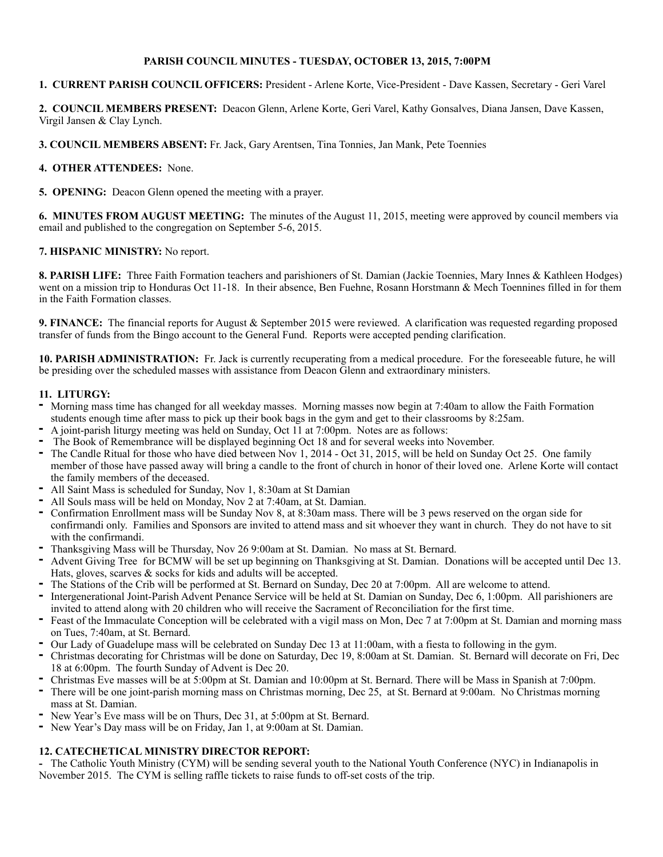### **PARISH COUNCIL MINUTES - TUESDAY, OCTOBER 13, 2015, 7:00PM**

### **1. CURRENT PARISH COUNCIL OFFICERS:** President - Arlene Korte, Vice-President - Dave Kassen, Secretary - Geri Varel

**2. COUNCIL MEMBERS PRESENT:** Deacon Glenn, Arlene Korte, Geri Varel, Kathy Gonsalves, Diana Jansen, Dave Kassen, Virgil Jansen & Clay Lynch.

**3. COUNCIL MEMBERS ABSENT:** Fr. Jack, Gary Arentsen, Tina Tonnies, Jan Mank, Pete Toennies

### **4. OTHER ATTENDEES:** None.

**5. OPENING:** Deacon Glenn opened the meeting with a prayer.

**6. MINUTES FROM AUGUST MEETING:** The minutes of the August 11, 2015, meeting were approved by council members via email and published to the congregation on September 5-6, 2015.

## **7. HISPANIC MINISTRY:** No report.

**8. PARISH LIFE:** Three Faith Formation teachers and parishioners of St. Damian (Jackie Toennies, Mary Innes & Kathleen Hodges) went on a mission trip to Honduras Oct 11-18. In their absence, Ben Fuehne, Rosann Horstmann & Mech Toennines filled in for them in the Faith Formation classes.

**9. FINANCE:** The financial reports for August & September 2015 were reviewed. A clarification was requested regarding proposed transfer of funds from the Bingo account to the General Fund. Reports were accepted pending clarification.

**10. PARISH ADMINISTRATION:** Fr. Jack is currently recuperating from a medical procedure. For the foreseeable future, he will be presiding over the scheduled masses with assistance from Deacon Glenn and extraordinary ministers.

### **11. LITURGY:**

- **-** Morning mass time has changed for all weekday masses. Morning masses now begin at 7:40am to allow the Faith Formation students enough time after mass to pick up their book bags in the gym and get to their classrooms by 8:25am.
- **-** A joint-parish liturgy meeting was held on Sunday, Oct 11 at 7:00pm. Notes are as follows:
- **-** The Book of Remembrance will be displayed beginning Oct 18 and for several weeks into November.
- **-** The Candle Ritual for those who have died between Nov 1, 2014 Oct 31, 2015, will be held on Sunday Oct 25. One family member of those have passed away will bring a candle to the front of church in honor of their loved one. Arlene Korte will contact the family members of the deceased.
- **-** All Saint Mass is scheduled for Sunday, Nov 1, 8:30am at St Damian
- **-** All Souls mass will be held on Monday, Nov 2 at 7:40am, at St. Damian.
- **-** Confirmation Enrollment mass will be Sunday Nov 8, at 8:30am mass. There will be 3 pews reserved on the organ side for confirmandi only. Families and Sponsors are invited to attend mass and sit whoever they want in church. They do not have to sit with the confirmandi.
- **-** Thanksgiving Mass will be Thursday, Nov 26 9:00am at St. Damian. No mass at St. Bernard.
- **-** Advent Giving Tree for BCMW will be set up beginning on Thanksgiving at St. Damian. Donations will be accepted until Dec 13. Hats, gloves, scarves & socks for kids and adults will be accepted.
- **-** The Stations of the Crib will be performed at St. Bernard on Sunday, Dec 20 at 7:00pm. All are welcome to attend.
- **-** Intergenerational Joint-Parish Advent Penance Service will be held at St. Damian on Sunday, Dec 6, 1:00pm. All parishioners are invited to attend along with 20 children who will receive the Sacrament of Reconciliation for the first time.
- **-** Feast of the Immaculate Conception will be celebrated with a vigil mass on Mon, Dec 7 at 7:00pm at St. Damian and morning mass on Tues, 7:40am, at St. Bernard.
- **-** Our Lady of Guadelupe mass will be celebrated on Sunday Dec 13 at 11:00am, with a fiesta to following in the gym.
- **-** Christmas decorating for Christmas will be done on Saturday, Dec 19, 8:00am at St. Damian. St. Bernard will decorate on Fri, Dec 18 at 6:00pm. The fourth Sunday of Advent is Dec 20.
- **-** Christmas Eve masses will be at 5:00pm at St. Damian and 10:00pm at St. Bernard. There will be Mass in Spanish at 7:00pm.
- **-** There will be one joint-parish morning mass on Christmas morning, Dec 25, at St. Bernard at 9:00am. No Christmas morning mass at St. Damian.
- **-** New Year's Eve mass will be on Thurs, Dec 31, at 5:00pm at St. Bernard.
- **-** New Year's Day mass will be on Friday, Jan 1, at 9:00am at St. Damian.

### **12. CATECHETICAL MINISTRY DIRECTOR REPORT:**

**-** The Catholic Youth Ministry (CYM) will be sending several youth to the National Youth Conference (NYC) in Indianapolis in November 2015. The CYM is selling raffle tickets to raise funds to off-set costs of the trip.